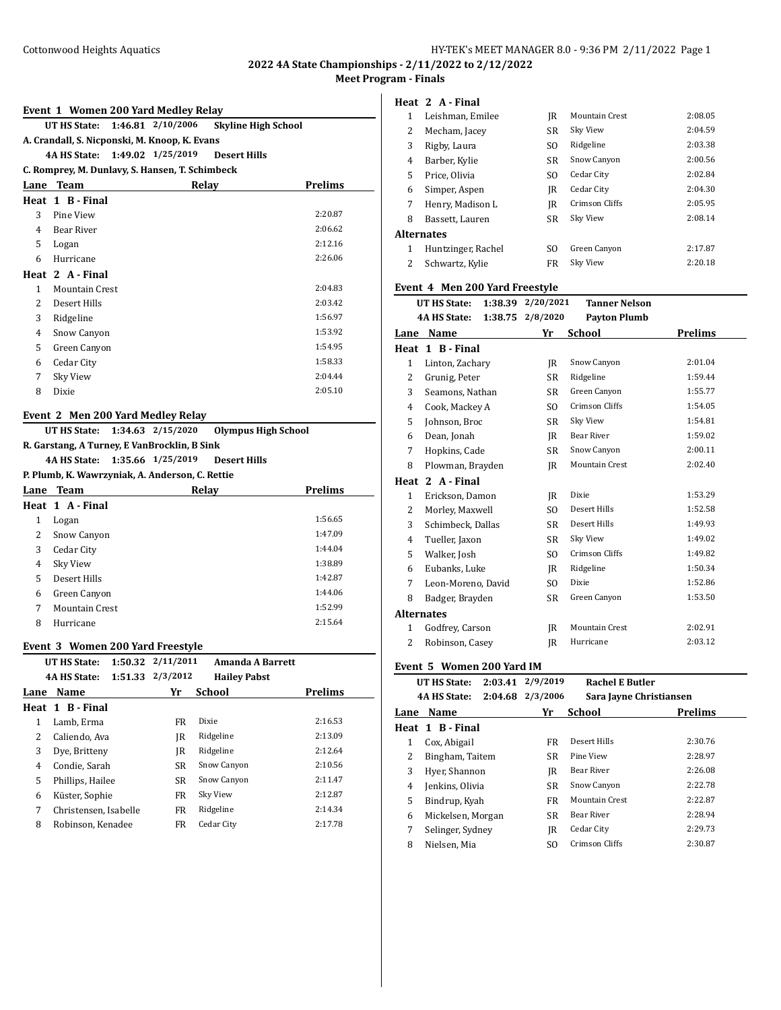**2022 4A State Championships - 2/11/2022 to 2/12/2022 Meet Program - Finals**

| Event 1 Women 200 Yard Medley Relay |  |                            |
|-------------------------------------|--|----------------------------|
| UT HS State: 1:46.81 2/10/2006      |  | <b>Skyline High School</b> |

# **A. Crandall, S. Nicponski, M. Knoop, K. Evans**

**4A HS State: 1:49.02 1/25/2019 Desert Hills**

## **C. Romprey, M. Dunlavy, S. Hansen, T. Schimbeck**

| Lane           | <b>Team</b>           | Relay | <b>Prelims</b> |
|----------------|-----------------------|-------|----------------|
|                | Heat 1 B - Final      |       |                |
| 3              | Pine View             |       | 2:20.87        |
| 4              | Bear River            |       | 2:06.62        |
| 5              | Logan                 |       | 2:12.16        |
| 6              | Hurricane             |       | 2:26.06        |
|                | Heat 2 A - Final      |       |                |
| 1              | <b>Mountain Crest</b> |       | 2:04.83        |
| $\overline{2}$ | Desert Hills          |       | 2:03.42        |
| 3              | Ridgeline             |       | 1:56.97        |
| 4              | Snow Canyon           |       | 1:53.92        |
| 5              | Green Canyon          |       | 1:54.95        |
| 6              | Cedar City            |       | 1:58.33        |
| 7              | Sky View              |       | 2:04.44        |
| 8              | Dixie                 |       | 2:05.10        |

## **Event 2 Men 200 Yard Medley Relay**

**UT HS State: 1:34.63 2/15/2020 Olympus High School R. Garstang, A Turney, E VanBrocklin, B Sink 4A HS State: 1:35.66 1/25/2019 Desert Hills**

**P. Plumb, K. Wawrzyniak, A. Anderson, C. Rettie**

| Lane | Team           | Relay | <b>Prelims</b> |
|------|----------------|-------|----------------|
|      | Heat 1 A-Final |       |                |
| 1    | Logan          |       | 1:56.65        |
| 2    | Snow Canyon    |       | 1:47.09        |
| 3    | Cedar City     |       | 1:44.04        |
| 4    | Sky View       |       | 1:38.89        |
| 5    | Desert Hills   |       | 1:42.87        |
| 6    | Green Canyon   |       | 1:44.06        |
|      | Mountain Crest |       | 1:52.99        |
| 8    | Hurricane      |       | 2:15.64        |
|      |                |       |                |

### **Event 3 Women 200 Yard Freestyle**

| <b>UT HS State:</b>   |           | <b>Amanda A Barrett</b> |                     |
|-----------------------|-----------|-------------------------|---------------------|
| <b>4A HS State:</b>   | 2/3/2012  | <b>Hailey Pabst</b>     |                     |
| Name                  | Yr        |                         | <b>Prelims</b>      |
| Heat 1 B-Final        |           |                         |                     |
| Lamb, Erma            | FR        | Dixie                   | 2:16.53             |
| Caliendo, Ava         | IR        | Ridgeline               | 2:13.09             |
| Dye, Britteny         | IR        | Ridgeline               | 2:12.64             |
| Condie, Sarah         | <b>SR</b> | Snow Canyon             | 2:10.56             |
| Phillips, Hailee      | SR        | Snow Canyon             | 2:11.47             |
| Küster, Sophie        | FR        | Sky View                | 2:12.87             |
| Christensen, Isabelle | FR        | Ridgeline               | 2:14.34             |
| Robinson, Kenadee     | FR        | Cedar City              | 2:17.78             |
|                       |           | 1:50.32<br>1:51.33      | 2/11/2011<br>School |

### **Heat 2 A - Final**

| 1             | Leishman, Emilee   | IR        | <b>Mountain Crest</b> | 2:08.05 |
|---------------|--------------------|-----------|-----------------------|---------|
| 2             | Mecham, Jacey      | <b>SR</b> | Sky View              | 2:04.59 |
| 3             | Rigby, Laura       | SO.       | Ridgeline             | 2:03.38 |
| 4             | Barber, Kylie      | <b>SR</b> | Snow Canyon           | 2:00.56 |
| 5             | Price, Olivia      | SO.       | Cedar City            | 2:02.84 |
| 6             | Simper, Aspen      | IR        | Cedar City            | 2:04.30 |
| 7             | Henry, Madison L   | IR        | Crimson Cliffs        | 2:05.95 |
| 8             | Bassett, Lauren    | <b>SR</b> | Sky View              | 2:08.14 |
|               | Alternates         |           |                       |         |
| 1             | Huntzinger, Rachel | SO.       | Green Canyon          | 2:17.87 |
| $\mathcal{L}$ | Schwartz, Kylie    | FR        | Sky View              | 2:20.18 |

# **Event 4 Men 200 Yard Freestyle**

|                   | <b>UT HS State:</b><br>1:38.39 | 2/20/2021        | <b>Tanner Nelson</b>  |         |
|-------------------|--------------------------------|------------------|-----------------------|---------|
|                   | <b>4A HS State:</b>            | 1:38.75 2/8/2020 | <b>Payton Plumb</b>   |         |
| Lane              | Name                           | Yr               | <b>School</b>         | Prelims |
| Heat              | 1 B - Final                    |                  |                       |         |
| $\mathbf{1}$      | Linton, Zachary                | IR               | Snow Canyon           | 2:01.04 |
| 2                 | Grunig, Peter                  | SR               | Ridgeline             | 1:59.44 |
| 3                 | Seamons, Nathan                | SR               | Green Canyon          | 1:55.77 |
| 4                 | Cook, Mackey A                 | SO.              | Crimson Cliffs        | 1:54.05 |
| 5                 | Johnson, Broc                  | SR               | Sky View              | 1:54.81 |
| 6                 | Dean, Jonah                    | IR               | <b>Bear River</b>     | 1:59.02 |
| 7                 | Hopkins, Cade                  | SR               | Snow Canyon           | 2:00.11 |
| 8                 | Plowman, Brayden               | IR               | <b>Mountain Crest</b> | 2:02.40 |
| Heat              | 2 A - Final                    |                  |                       |         |
| $\mathbf{1}$      | Erickson, Damon                | IR               | Dixie                 | 1:53.29 |
| 2                 | Morley, Maxwell                | SO.              | Desert Hills          | 1:52.58 |
| 3                 | Schimbeck, Dallas              | SR               | Desert Hills          | 1:49.93 |
| 4                 | Tueller, Jaxon                 | SR               | Sky View              | 1:49.02 |
| 5                 | Walker, Josh                   | SO.              | <b>Crimson Cliffs</b> | 1:49.82 |
| 6                 | Eubanks, Luke                  | IR               | Ridgeline             | 1:50.34 |
| 7                 | Leon-Moreno, David             | S <sub>O</sub>   | Dixie                 | 1:52.86 |
| 8                 | Badger, Brayden                | SR               | Green Canyon          | 1:53.50 |
| <b>Alternates</b> |                                |                  |                       |         |
| $\mathbf{1}$      | Godfrey, Carson                | IR               | <b>Mountain Crest</b> | 2:02.91 |
| 2                 | Robinson, Casey                | IR               | Hurricane             | 2:03.12 |

# **Event 5 Women 200 Yard IM**

|      | UT HS State:        | 2:03.41 2/9/2019 | <b>Rachel E Butler</b>  |         |
|------|---------------------|------------------|-------------------------|---------|
|      | <b>4A HS State:</b> | 2:04.68 2/3/2006 | Sara Jayne Christiansen |         |
| Lane | Name                | Yr               | School                  | Prelims |
|      | Heat 1 B-Final      |                  |                         |         |
| 1    | Cox, Abigail        | FR.              | Desert Hills            | 2:30.76 |
| 2    | Bingham, Taitem     | <b>SR</b>        | Pine View               | 2:28.97 |
| 3    | Hyer, Shannon       | IR               | <b>Bear River</b>       | 2:26.08 |
| 4    | Jenkins, Olivia     | SR.              | Snow Canyon             | 2:22.78 |
| 5    | Bindrup, Kyah       | FR               | Mountain Crest          | 2:22.87 |
| 6    | Mickelsen, Morgan   | <b>SR</b>        | <b>Bear River</b>       | 2:28.94 |
| 7    | Selinger, Sydney    | IR               | Cedar City              | 2:29.73 |
| 8    | Nielsen. Mia        | SO.              | Crimson Cliffs          | 2:30.87 |
|      |                     |                  |                         |         |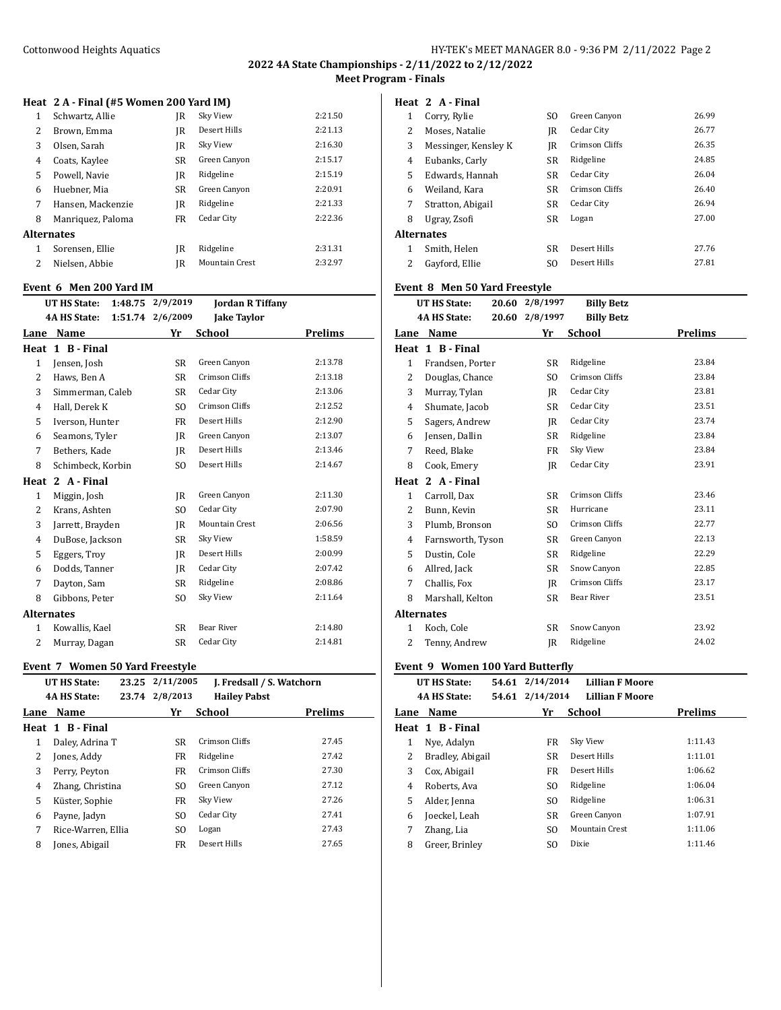# **2022 4A State Championships - 2/11/2022 to 2/12/2022 Meet Program - Finals**

# **Heat 2 A - Final (#5 Women 200 Yard IM)**

| 1              | Schwartz, Allie   | IR        | Sky View       | 2:21.50 |
|----------------|-------------------|-----------|----------------|---------|
| 2              | Brown, Emma       | IR        | Desert Hills   | 2:21.13 |
| 3              | Olsen, Sarah      | IR        | Sky View       | 2:16.30 |
| 4              | Coats, Kaylee     | <b>SR</b> | Green Canyon   | 2:15.17 |
| 5.             | Powell, Navie     | IR        | Ridgeline      | 2:15.19 |
| 6              | Huebner, Mia      | <b>SR</b> | Green Canyon   | 2:20.91 |
| 7              | Hansen, Mackenzie | IR        | Ridgeline      | 2:21.33 |
| 8              | Manriquez, Paloma | FR        | Cedar City     | 2:22.36 |
|                | Alternates        |           |                |         |
| 1              | Sorensen, Ellie   | IR        | Ridgeline      | 2:31.31 |
| $\overline{2}$ | Nielsen, Abbie    | IR        | Mountain Crest | 2:32.97 |
|                |                   |           |                |         |

# **Event 6 Men 200 Yard IM**

|                | 1:48.75<br>UT HS State: |                  | <b>Jordan R Tiffany</b> |         |
|----------------|-------------------------|------------------|-------------------------|---------|
|                | <b>4A HS State:</b>     | 1:51.74 2/6/2009 | <b>Jake Taylor</b>      |         |
|                | Lane Name               | Yr               | School                  | Prelims |
| Heat           | 1 B - Final             |                  |                         |         |
| $\mathbf{1}$   | Jensen, Josh            | <b>SR</b>        | Green Canyon            | 2:13.78 |
| $\overline{2}$ | Haws, Ben A             | <b>SR</b>        | Crimson Cliffs          | 2:13.18 |
| 3              | Simmerman, Caleb        | SR               | Cedar City              | 2:13.06 |
| $\overline{4}$ | Hall, Derek K           | S <sub>O</sub>   | Crimson Cliffs          | 2:12.52 |
| 5              | Iverson, Hunter         | <b>FR</b>        | Desert Hills            | 2:12.90 |
| 6              | Seamons, Tyler          | IR               | Green Canyon            | 2:13.07 |
| 7              | Bethers, Kade           | IR               | Desert Hills            | 2:13.46 |
| 8              | Schimbeck, Korbin       | S <sub>O</sub>   | Desert Hills            | 2:14.67 |
| Heat           | 2 A - Final             |                  |                         |         |
| $\mathbf{1}$   | Miggin, Josh            | IR               | Green Canyon            | 2:11.30 |
| 2              | Krans, Ashten           | SO.              | Cedar City              | 2:07.90 |
| 3              | Jarrett, Brayden        | IR               | <b>Mountain Crest</b>   | 2:06.56 |
| 4              | DuBose, Jackson         | <b>SR</b>        | Sky View                | 1:58.59 |
| 5              | Eggers, Troy            | IR               | Desert Hills            | 2:00.99 |
| 6              | Dodds, Tanner           | JR               | Cedar City              | 2:07.42 |
| 7              | Dayton, Sam             | SR               | Ridgeline               | 2:08.86 |
| 8              | Gibbons, Peter          | SO.              | Sky View                | 2:11.64 |
|                | <b>Alternates</b>       |                  |                         |         |
| 1              | Kowallis, Kael          | <b>SR</b>        | <b>Bear River</b>       | 2:14.80 |
| $\overline{2}$ | Murray, Dagan           | SR               | Cedar City              | 2:14.81 |
|                |                         |                  |                         |         |

# **Event 7 Women 50 Yard Freestyle**

|      | UT HS State:        | 23.25 2/11/2005 | J. Fredsall / S. Watchorn |                |
|------|---------------------|-----------------|---------------------------|----------------|
|      | <b>4A HS State:</b> | 23.74 2/8/2013  | <b>Hailey Pabst</b>       |                |
| Lane | Name                | Yr              | School                    | <b>Prelims</b> |
|      | Heat 1 B-Final      |                 |                           |                |
| 1    | Daley, Adrina T     | SR.             | Crimson Cliffs            | 27.45          |
| 2    | Jones, Addy         | FR              | Ridgeline                 | 27.42          |
| 3    | Perry, Peyton       | FR              | Crimson Cliffs            | 27.30          |
| 4    | Zhang, Christina    | S <sub>O</sub>  | Green Canyon              | 27.12          |
| 5    | Küster, Sophie      | FR              | Sky View                  | 27.26          |
| 6    | Payne, Jadyn        | S <sub>O</sub>  | Cedar City                | 27.41          |
| 7    | Rice-Warren, Ellia  | S <sub>O</sub>  | Logan                     | 27.43          |
| 8    | Jones, Abigail      | FR              | Desert Hills              | 27.65          |
|      |                     |                 |                           |                |

## **Heat 2 A - Final**

| 1             | Corry, Rylie         | SO. | Green Canyon   | 26.99 |
|---------------|----------------------|-----|----------------|-------|
| 2             | Moses. Natalie       | IR  | Cedar City     | 26.77 |
| 3             | Messinger, Kensley K | IR  | Crimson Cliffs | 26.35 |
| 4             | Eubanks, Carly       | SR  | Ridgeline      | 24.85 |
| 5             | Edwards. Hannah      | SR  | Cedar City     | 26.04 |
| 6             | Weiland. Kara        | SR. | Crimson Cliffs | 26.40 |
| 7             | Stratton, Abigail    | SR  | Cedar City     | 26.94 |
| 8             | Ugray, Zsofi         | SR  | Logan          | 27.00 |
| Alternates    |                      |     |                |       |
| 1             | Smith, Helen         | SR  | Desert Hills   | 27.76 |
| $\mathcal{L}$ | Gayford, Ellie       | SO. | Desert Hills   | 27.81 |
|               |                      |     |                |       |

# **Event 8 Men 50 Yard Freestyle**

|                | <b>UT HS State:</b> | 20.60 | 2/8/1997  | <b>Billy Betz</b>     |         |
|----------------|---------------------|-------|-----------|-----------------------|---------|
|                | <b>4A HS State:</b> | 20.60 | 2/8/1997  | <b>Billy Betz</b>     |         |
| Lane           | Name                |       | Yr        | School                | Prelims |
| Heat           | 1 B - Final         |       |           |                       |         |
| $\mathbf{1}$   | Frandsen, Porter    |       | <b>SR</b> | Ridgeline             | 23.84   |
| $\overline{2}$ | Douglas, Chance     |       | SO.       | Crimson Cliffs        | 23.84   |
| 3              | Murray, Tylan       |       | IR        | Cedar City            | 23.81   |
| 4              | Shumate, Jacob      |       | SR        | Cedar City            | 23.51   |
| 5              | Sagers, Andrew      |       | IR        | Cedar City            | 23.74   |
| 6              | Jensen, Dallin      |       | SR        | Ridgeline             | 23.84   |
| 7              | Reed, Blake         |       | <b>FR</b> | Sky View              | 23.84   |
| 8              | Cook, Emery         |       | IR        | Cedar City            | 23.91   |
| Heat           | 2 A - Final         |       |           |                       |         |
| $\mathbf{1}$   | Carroll, Dax        |       | SR        | Crimson Cliffs        | 23.46   |
| 2              | Bunn, Kevin         |       | SR        | Hurricane             | 23.11   |
| 3              | Plumb, Bronson      |       | SO.       | Crimson Cliffs        | 22.77   |
| 4              | Farnsworth, Tyson   |       | SR        | Green Canyon          | 22.13   |
| 5              | Dustin, Cole        |       | SR        | Ridgeline             | 22.29   |
| 6              | Allred, Jack        |       | SR        | Snow Canyon           | 22.85   |
| 7              | Challis, Fox        |       | IR        | <b>Crimson Cliffs</b> | 23.17   |
| 8              | Marshall, Kelton    |       | SR        | Bear River            | 23.51   |
|                | <b>Alternates</b>   |       |           |                       |         |
| 1              | Koch, Cole          |       | SR        | Snow Canyon           | 23.92   |
| 2              | Tenny, Andrew       |       | IR        | Ridgeline             | 24.02   |

## **Event 9 Women 100 Yard Butterfly**

|                | 54.61                                                 |                  | <b>Lillian F Moore</b> |                        |
|----------------|-------------------------------------------------------|------------------|------------------------|------------------------|
|                | 54.61                                                 |                  | <b>Lillian F Moore</b> |                        |
| Name           |                                                       | Yr               | School                 | <b>Prelims</b>         |
|                |                                                       |                  |                        |                        |
| Nye, Adalyn    |                                                       | FR               | Sky View               | 1:11.43                |
|                |                                                       | <b>SR</b>        | Desert Hills           | 1:11.01                |
| Cox, Abigail   |                                                       | FR.              | Desert Hills           | 1:06.62                |
| Roberts, Ava   |                                                       | SO.              | Ridgeline              | 1:06.04                |
| Alder, Jenna   |                                                       | S <sub>O</sub>   | Ridgeline              | 1:06.31                |
| Joeckel, Leah  |                                                       | SR               | Green Canyon           | 1:07.91                |
| Zhang, Lia     |                                                       | S <sub>O</sub>   | Mountain Crest         | 1:11.06                |
| Greer, Brinley |                                                       | S <sub>0</sub>   | Dixie                  | 1:11.46                |
|                | UT HS State:<br><b>4A HS State:</b><br>Heat 1 B-Final | Bradley, Abigail |                        | 2/14/2014<br>2/14/2014 |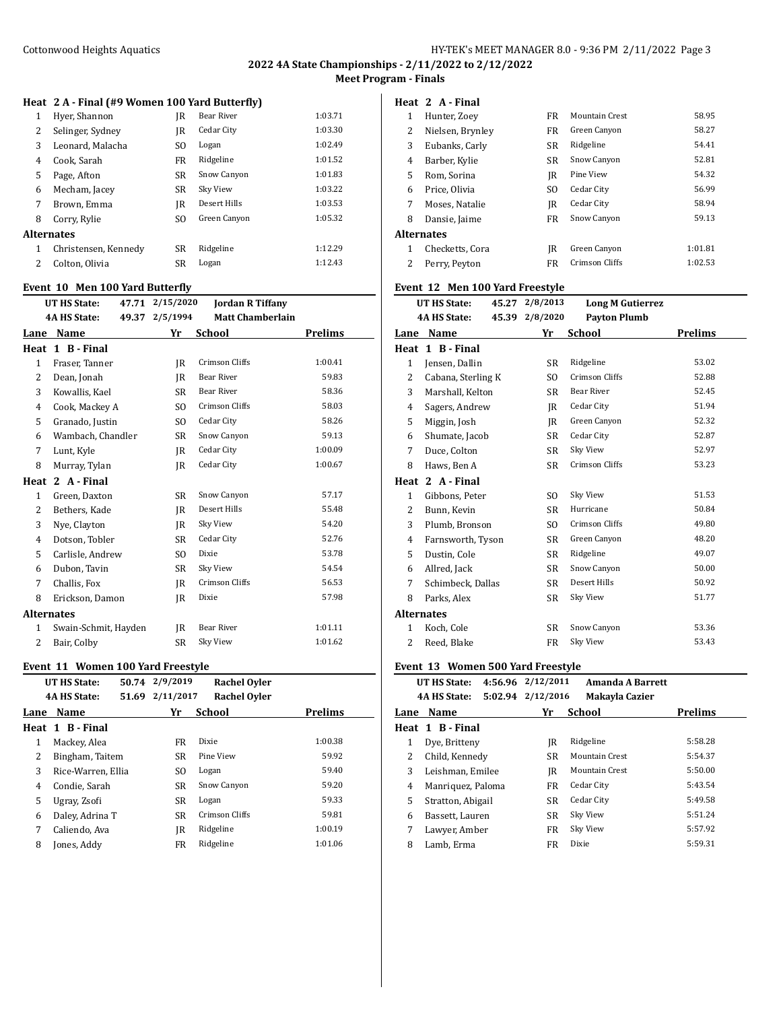# **2022 4A State Championships - 2/11/2022 to 2/12/2022 Meet Program - Finals**

# **Heat 2 A - Final (#9 Women 100 Yard Butterfly)**

| 1 | Hyer, Shannon        | IR             | <b>Bear River</b> | 1:03.71 |
|---|----------------------|----------------|-------------------|---------|
| 2 | Selinger, Sydney     | IR             | Cedar City        | 1:03.30 |
| 3 | Leonard, Malacha     | S <sub>O</sub> | Logan             | 1:02.49 |
| 4 | Cook. Sarah          | FR             | Ridgeline         | 1:01.52 |
| 5 | Page, Afton          | SR.            | Snow Canyon       | 1:01.83 |
| 6 | Mecham, Jacey        | <b>SR</b>      | Sky View          | 1:03.22 |
| 7 | Brown, Emma          | IR             | Desert Hills      | 1:03.53 |
| 8 | Corry, Rylie         | S <sub>O</sub> | Green Canyon      | 1:05.32 |
|   | Alternates           |                |                   |         |
| 1 | Christensen, Kennedy | <b>SR</b>      | Ridgeline         | 1:12.29 |
| 2 | Colton, Olivia       | <b>SR</b>      | Logan             | 1:12.43 |
|   |                      |                |                   |         |

# **Event 10 Men 100 Yard Butterfly**

|                   | Event To Men Too rard Butterny |                 |                         |         |
|-------------------|--------------------------------|-----------------|-------------------------|---------|
|                   | <b>UT HS State:</b>            | 47.71 2/15/2020 | <b>Jordan R Tiffany</b> |         |
|                   | <b>4A HS State:</b>            | 49.37 2/5/1994  | <b>Matt Chamberlain</b> |         |
| Lane              | Name                           | Yr              | School                  | Prelims |
| Heat              | 1 B - Final                    |                 |                         |         |
| $\mathbf{1}$      | Fraser, Tanner                 | IR              | Crimson Cliffs          | 1:00.41 |
| 2                 | Dean, Jonah                    | IR              | <b>Bear River</b>       | 59.83   |
| 3                 | Kowallis, Kael                 | SR              | <b>Bear River</b>       | 58.36   |
| $\overline{4}$    | Cook, Mackey A                 | S <sub>O</sub>  | Crimson Cliffs          | 58.03   |
| 5                 | Granado, Justin                | SO.             | Cedar City              | 58.26   |
| 6                 | Wambach, Chandler              | <b>SR</b>       | Snow Canyon             | 59.13   |
| 7                 | Lunt, Kyle                     | IR              | Cedar City              | 1:00.09 |
| 8                 | Murray, Tylan                  | IR              | Cedar City              | 1:00.67 |
| Heat              | 2 A - Final                    |                 |                         |         |
| $\mathbf{1}$      | Green, Daxton                  | SR              | Snow Canyon             | 57.17   |
| $\overline{2}$    | Bethers, Kade                  | IR              | <b>Desert Hills</b>     | 55.48   |
| 3                 | Nye, Clayton                   | IR              | Sky View                | 54.20   |
| $\overline{4}$    | Dotson, Tobler                 | SR              | Cedar City              | 52.76   |
| 5                 | Carlisle, Andrew               | S <sub>O</sub>  | Dixie                   | 53.78   |
| 6                 | Dubon, Tavin                   | <b>SR</b>       | Sky View                | 54.54   |
| 7                 | Challis, Fox                   | IR              | Crimson Cliffs          | 56.53   |
| 8                 | Erickson, Damon                | IR              | Dixie                   | 57.98   |
| <b>Alternates</b> |                                |                 |                         |         |
| $\mathbf{1}$      | Swain-Schmit, Hayden           | IR              | <b>Bear River</b>       | 1:01.11 |
| $\overline{2}$    | Bair, Colby                    | SR              | Sky View                | 1:01.62 |
|                   |                                |                 |                         |         |

## **Event 11 Women 100 Yard Freestyle**

|      | UT HS State:        | 50.74 | 2/9/2019  | <b>Rachel Oyler</b> |         |  |
|------|---------------------|-------|-----------|---------------------|---------|--|
|      | <b>4A HS State:</b> | 51.69 | 2/11/2017 | <b>Rachel Oyler</b> |         |  |
| Lane | Name                |       | Yr        | School              | Prelims |  |
|      | Heat 1 B-Final      |       |           |                     |         |  |
| 1    | Mackey, Alea        |       | FR        | Dixie               | 1:00.38 |  |
| 2    | Bingham, Taitem     |       | <b>SR</b> | Pine View           | 59.92   |  |
| 3    | Rice-Warren, Ellia  |       | SO.       | Logan               | 59.40   |  |
| 4    | Condie, Sarah       |       | <b>SR</b> | Snow Canyon         | 59.20   |  |
| 5    | Ugray, Zsofi        |       | <b>SR</b> | Logan               | 59.33   |  |
| 6    | Daley, Adrina T     |       | <b>SR</b> | Crimson Cliffs      | 59.81   |  |
| 7    | Caliendo, Ava       |       | IR        | Ridgeline           | 1:00.19 |  |
| 8    | Jones, Addy         |       | FR        | Ridgeline           | 1:01.06 |  |
|      |                     |       |           |                     |         |  |

## **Heat 2 A - Final**

| 1 | Hunter, Zoey      | FR             | <b>Mountain Crest</b> | 58.95   |
|---|-------------------|----------------|-----------------------|---------|
| 2 | Nielsen, Brynley  | FR.            | Green Canyon          | 58.27   |
| 3 | Eubanks, Carly    | <b>SR</b>      | Ridgeline             | 54.41   |
| 4 | Barber, Kylie     | <b>SR</b>      | Snow Canyon           | 52.81   |
| 5 | Rom, Sorina       | IR             | Pine View             | 54.32   |
| 6 | Price. Olivia     | S <sub>O</sub> | Cedar City            | 56.99   |
| 7 | Moses, Natalie    | IR             | Cedar City            | 58.94   |
| 8 | Dansie, Jaime     | FR             | Snow Canyon           | 59.13   |
|   | <b>Alternates</b> |                |                       |         |
| 1 | Checketts, Cora   | IR             | Green Canyon          | 1:01.81 |
| 2 | Perry, Peyton     | FR.            | Crimson Cliffs        | 1:02.53 |
|   |                   |                |                       |         |

# **Event 12 Men 100 Yard Freestyle**

|                | UT HS State:<br>45.27 | 2/8/2013       | <b>Long M Gutierrez</b> |                |
|----------------|-----------------------|----------------|-------------------------|----------------|
|                | <b>4A HS State:</b>   | 45.39 2/8/2020 | <b>Payton Plumb</b>     |                |
|                | Lane Name             | Yr             | School                  | <b>Prelims</b> |
|                | Heat 1 B - Final      |                |                         |                |
| $\mathbf{1}$   | Jensen, Dallin        | SR             | Ridgeline               | 53.02          |
| 2              | Cabana, Sterling K    | SO.            | Crimson Cliffs          | 52.88          |
| 3              | Marshall, Kelton      | SR             | <b>Bear River</b>       | 52.45          |
| 4              | Sagers, Andrew        | IR             | Cedar City              | 51.94          |
| 5              | Miggin, Josh          | IR             | Green Canyon            | 52.32          |
| 6              | Shumate, Jacob        | SR             | Cedar City              | 52.87          |
| 7              | Duce, Colton          | <b>SR</b>      | Sky View                | 52.97          |
| 8              | Haws, Ben A           | <b>SR</b>      | Crimson Cliffs          | 53.23          |
| Heat           | 2 A - Final           |                |                         |                |
| $\mathbf{1}$   | Gibbons, Peter        | SO.            | Sky View                | 51.53          |
| 2              | Bunn, Kevin           | <b>SR</b>      | Hurricane               | 50.84          |
| 3              | Plumb, Bronson        | S <sub>O</sub> | Crimson Cliffs          | 49.80          |
| 4              | Farnsworth, Tyson     | SR             | Green Canyon            | 48.20          |
| 5              | Dustin, Cole          | <b>SR</b>      | Ridgeline               | 49.07          |
| 6              | Allred, Jack          | <b>SR</b>      | Snow Canyon             | 50.00          |
| 7              | Schimbeck, Dallas     | <b>SR</b>      | Desert Hills            | 50.92          |
| 8              | Parks, Alex           | <b>SR</b>      | Sky View                | 51.77          |
|                | <b>Alternates</b>     |                |                         |                |
| 1              | Koch, Cole            | <b>SR</b>      | Snow Canyon             | 53.36          |
| $\overline{2}$ | Reed, Blake           | <b>FR</b>      | Sky View                | 53.43          |

## **Event 13 Women 500 Yard Freestyle**

|      | UT HS State:        | 4:56.96 2/12/2011 | <b>Amanda A Barrett</b> |                |
|------|---------------------|-------------------|-------------------------|----------------|
|      | <b>4A HS State:</b> | 5:02.94 2/12/2016 | Makayla Cazier          |                |
| Lane | Name                | Yr                | School                  | <b>Prelims</b> |
|      | Heat 1 B-Final      |                   |                         |                |
| 1    | Dye, Britteny       | IR                | Ridgeline               | 5:58.28        |
| 2    | Child, Kennedy      | <b>SR</b>         | <b>Mountain Crest</b>   | 5:54.37        |
| 3    | Leishman, Emilee    | IR                | Mountain Crest          | 5:50.00        |
| 4    | Manriquez, Paloma   | FR                | Cedar City              | 5:43.54        |
| 5    | Stratton, Abigail   | SR                | Cedar City              | 5:49.58        |
| 6    | Bassett, Lauren     | SR                | Sky View                | 5:51.24        |
| 7    | Lawyer, Amber       | FR                | Sky View                | 5:57.92        |
| 8    | Lamb, Erma          | FR.               | Dixie                   | 5:59.31        |
|      |                     |                   |                         |                |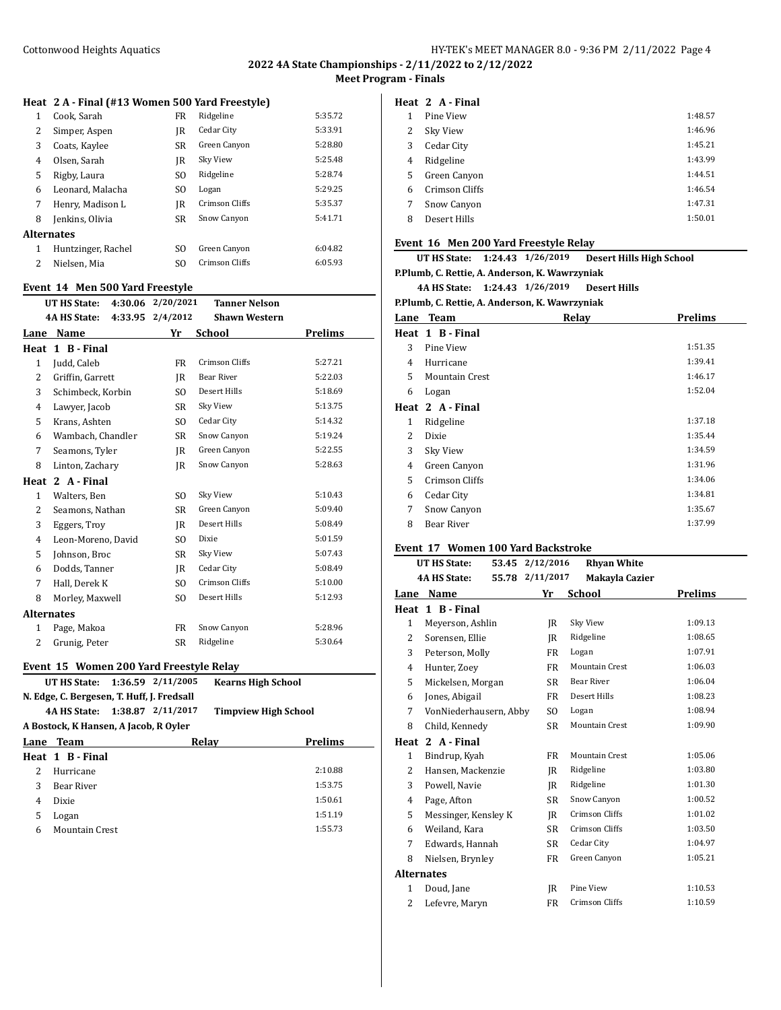# **2022 4A State Championships - 2/11/2022 to 2/12/2022 Meet Program - Finals**

# **Heat 2 A - Final (#13 Women 500 Yard Freestyle)**

| 1 | Cook. Sarah        | FR        | Ridgeline      | 5:35.72 |
|---|--------------------|-----------|----------------|---------|
| 2 | Simper, Aspen      | IR        | Cedar City     | 5:33.91 |
| 3 | Coats, Kaylee      | SR.       | Green Canyon   | 5:28.80 |
| 4 | Olsen, Sarah       | IR        | Sky View       | 5:25.48 |
| 5 | Rigby, Laura       | SO.       | Ridgeline      | 5:28.74 |
| 6 | Leonard, Malacha   | SO.       | Logan          | 5:29.25 |
| 7 | Henry, Madison L   | IR        | Crimson Cliffs | 5:35.37 |
| 8 | Jenkins, Olivia    | <b>SR</b> | Snow Canyon    | 5:41.71 |
|   | Alternates         |           |                |         |
| 1 | Huntzinger, Rachel | SO.       | Green Canyon   | 6:04.82 |
| 2 | Nielsen. Mia       | SO.       | Crimson Cliffs | 6:05.93 |
|   |                    |           |                |         |

# **Event 14 Men 500 Yard Freestyle**

|                   | $\mathbf{u}$ and $\mathbf{u}$ and $\mathbf{u}$ and $\mathbf{u}$ and $\mathbf{u}$ |                   |                      |                |
|-------------------|----------------------------------------------------------------------------------|-------------------|----------------------|----------------|
|                   | UT HS State:                                                                     | 4:30.06 2/20/2021 | <b>Tanner Nelson</b> |                |
|                   | <b>4A HS State:</b>                                                              | 4:33.95 2/4/2012  | <b>Shawn Western</b> |                |
| Lane              | Name                                                                             | Yr                | School               | <b>Prelims</b> |
|                   | Heat 1 B - Final                                                                 |                   |                      |                |
| 1                 | Judd, Caleb                                                                      | <b>FR</b>         | Crimson Cliffs       | 5:27.21        |
| 2                 | Griffin, Garrett                                                                 | IR                | <b>Bear River</b>    | 5:22.03        |
| 3                 | Schimbeck, Korbin                                                                | SO.               | Desert Hills         | 5:18.69        |
| 4                 | Lawyer, Jacob                                                                    | <b>SR</b>         | Sky View             | 5:13.75        |
| 5                 | Krans, Ashten                                                                    | SO.               | Cedar City           | 5:14.32        |
| 6                 | Wambach, Chandler                                                                | SR                | Snow Canyon          | 5:19.24        |
| 7                 | Seamons, Tyler                                                                   | IR                | Green Canyon         | 5:22.55        |
| 8                 | Linton, Zachary                                                                  | IR                | Snow Canyon          | 5:28.63        |
| Heat              | 2 A - Final                                                                      |                   |                      |                |
| 1                 | Walters, Ben                                                                     | S <sub>O</sub>    | Sky View             | 5:10.43        |
| 2                 | Seamons, Nathan                                                                  | SR                | Green Canyon         | 5:09.40        |
| 3                 | Eggers, Troy                                                                     | IR                | Desert Hills         | 5:08.49        |
| $\overline{4}$    | Leon-Moreno, David                                                               | SO.               | Dixie                | 5:01.59        |
| 5                 | Johnson, Broc                                                                    | SR                | Sky View             | 5:07.43        |
| 6                 | Dodds, Tanner                                                                    | IR                | Cedar City           | 5:08.49        |
| 7                 | Hall, Derek K                                                                    | SO.               | Crimson Cliffs       | 5:10.00        |
| 8                 | Morley, Maxwell                                                                  | S <sub>O</sub>    | Desert Hills         | 5:12.93        |
| <b>Alternates</b> |                                                                                  |                   |                      |                |
| 1                 | Page, Makoa                                                                      | FR                | Snow Canyon          | 5:28.96        |
| 2                 | Grunig, Peter                                                                    | SR                | Ridgeline            | 5:30.64        |
|                   |                                                                                  |                   |                      |                |

# **Event 15 Women 200 Yard Freestyle Relay**

|                                       | UT HS State: 1:36.59 2/11/2005             |  |       | <b>Kearns High School</b>   |         |
|---------------------------------------|--------------------------------------------|--|-------|-----------------------------|---------|
|                                       | N. Edge, C. Bergesen, T. Huff, J. Fredsall |  |       |                             |         |
|                                       | 4A HS State: 1:38.87 2/11/2017             |  |       | <b>Timpview High School</b> |         |
| A Bostock, K Hansen, A Jacob, R Ovler |                                            |  |       |                             |         |
|                                       | Lane Team                                  |  | Relay |                             | Prelims |
|                                       | Heat 1 B-Final                             |  |       |                             |         |
| 2                                     | Hurricane                                  |  |       |                             | 2:10.88 |
| 3                                     | Bear River                                 |  |       |                             | 1:53.75 |
| 4                                     | Dixie                                      |  |       |                             | 1:50.61 |
| 5                                     | Logan                                      |  |       |                             | 1:51.19 |
| 6                                     | Mountain Crest                             |  |       |                             | 1:55.73 |
|                                       |                                            |  |       |                             |         |

|   | Heat 2 A-Final |         |
|---|----------------|---------|
| 1 | Pine View      | 1:48.57 |
| 2 | Sky View       | 1:46.96 |
| 3 | Cedar City     | 1:45.21 |
| 4 | Ridgeline      | 1:43.99 |
| 5 | Green Canyon   | 1:44.51 |
| 6 | Crimson Cliffs | 1:46.54 |
| 7 | Snow Canyon    | 1:47.31 |
| 8 | Desert Hills   | 1:50.01 |
|   |                |         |

## **Event 16 Men 200 Yard Freestyle Relay**

| UT HS State: 1:24.43 1/26/2019                 |  |  | <b>Desert Hills High School</b> |  |  |
|------------------------------------------------|--|--|---------------------------------|--|--|
| P.Plumb, C. Rettie, A. Anderson, K. Wawrzyniak |  |  |                                 |  |  |

# **4A HS State: 1:24.43 1/26/2019 Desert Hills**

## **P.Plumb, C. Rettie, A. Anderson, K. Wawrzyniak**

|    | <b>Lane Team</b>      | Relay | <b>Prelims</b> |
|----|-----------------------|-------|----------------|
|    | Heat 1 B-Final        |       |                |
| 3  | Pine View             |       | 1:51.35        |
| 4  | Hurricane             |       | 1:39.41        |
| 5. | <b>Mountain Crest</b> |       | 1:46.17        |
| 6  | Logan                 |       | 1:52.04        |
|    | Heat 2 A-Final        |       |                |
| 1  | Ridgeline             |       | 1:37.18        |
| 2  | Dixie                 |       | 1:35.44        |
| 3  | Sky View              |       | 1:34.59        |
| 4  | Green Canyon          |       | 1:31.96        |
| 5  | Crimson Cliffs        |       | 1:34.06        |
| 6  | Cedar City            |       | 1:34.81        |
| 7  | Snow Canyon           |       | 1:35.67        |
| 8  | Bear River            |       | 1:37.99        |
|    |                       |       |                |

# **Event 17 Women 100 Yard Backstroke**

|              | <b>UT HS State:</b>    | 53.45 2/12/2016 | <b>Rhyan White</b>    |                |
|--------------|------------------------|-----------------|-----------------------|----------------|
|              | <b>4A HS State:</b>    | 55.78 2/11/2017 | Makayla Cazier        |                |
| Lane         | Name                   | Yr              | School                | <b>Prelims</b> |
| Heat         | 1 B - Final            |                 |                       |                |
| $\mathbf{1}$ | Meyerson, Ashlin       | IR              | Sky View              | 1:09.13        |
| 2            | Sorensen, Ellie        | IR              | Ridgeline             | 1:08.65        |
| 3            | Peterson, Molly        | FR              | Logan                 | 1:07.91        |
| 4            | Hunter, Zoev           | FR              | <b>Mountain Crest</b> | 1:06.03        |
| 5            | Mickelsen, Morgan      | SR              | Bear River            | 1:06.04        |
| 6            | Jones, Abigail         | FR              | Desert Hills          | 1:08.23        |
| 7            | VonNiederhausern, Abby | SO.             | Logan                 | 1:08.94        |
| 8            | Child, Kennedy         | SR              | <b>Mountain Crest</b> | 1:09.90        |
| Heat         | 2 A - Final            |                 |                       |                |
| 1            | Bindrup, Kyah          | FR              | <b>Mountain Crest</b> | 1:05.06        |
| 2            | Hansen, Mackenzie      | IR              | Ridgeline             | 1:03.80        |
| 3            | Powell, Navie          | IR              | Ridgeline             | 1:01.30        |
| 4            | Page, Afton            | SR              | Snow Canyon           | 1:00.52        |
| 5            | Messinger, Kensley K   | IR              | Crimson Cliffs        | 1:01.02        |
| 6            | Weiland, Kara          | SR              | Crimson Cliffs        | 1:03.50        |
| 7            | Edwards, Hannah        | SR              | Cedar City            | 1:04.97        |
| 8            | Nielsen, Brynley       | FR              | Green Canyon          | 1:05.21        |
|              | <b>Alternates</b>      |                 |                       |                |
| $\mathbf{1}$ | Doud, Jane             | IR              | Pine View             | 1:10.53        |
| 2            | Lefevre, Maryn         | FR.             | Crimson Cliffs        | 1:10.59        |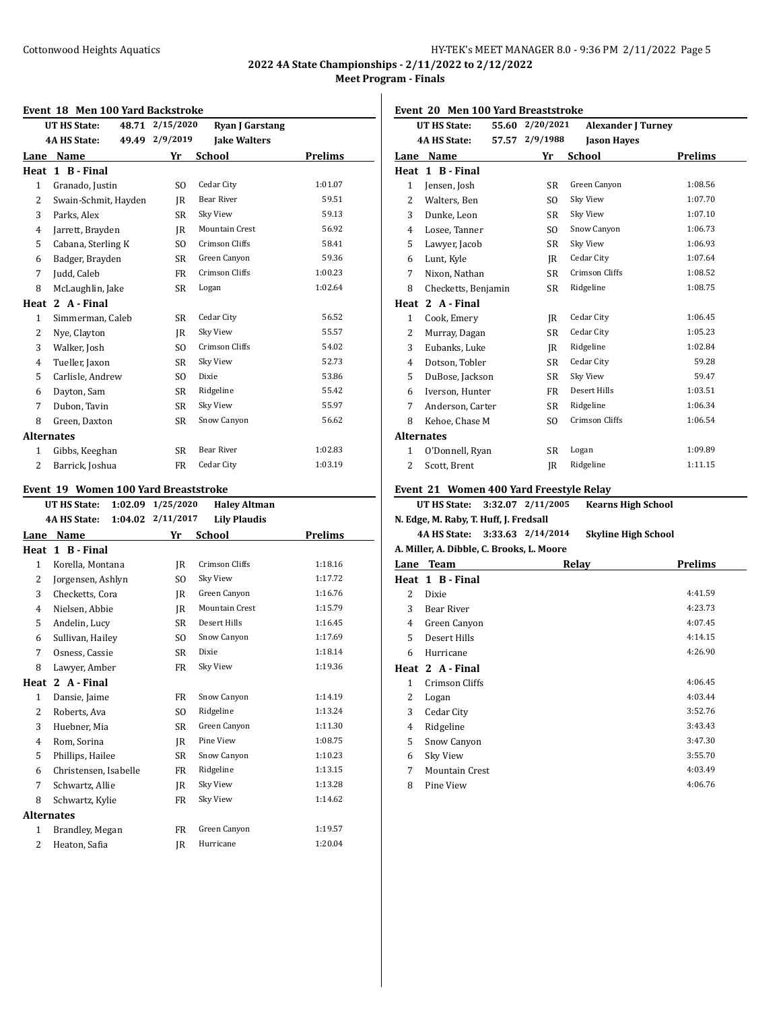**2022 4A State Championships - 2/11/2022 to 2/12/2022 Meet Program - Finals**

## **Event 18 Men 100 Yard Backstroke**

| LVEIIU TO MEII TUU TATU DAUNSU UNE<br>2/15/2020<br>48.71<br><b>Ryan J Garstang</b><br>UT HS State: |                      |                |                       |                |  |
|----------------------------------------------------------------------------------------------------|----------------------|----------------|-----------------------|----------------|--|
| <b>4A HS State:</b>                                                                                |                      | 49.49 2/9/2019 | <b>Jake Walters</b>   |                |  |
| Lane                                                                                               | Name                 | Yr             | School                | <b>Prelims</b> |  |
| Heat                                                                                               | 1 B - Final          |                |                       |                |  |
| 1                                                                                                  | Granado, Justin      | S <sub>0</sub> | Cedar City            | 1:01.07        |  |
| 2                                                                                                  | Swain-Schmit, Hayden | IR             | <b>Bear River</b>     | 59.51          |  |
| 3                                                                                                  | Parks, Alex          | SR             | Sky View              | 59.13          |  |
| $\overline{4}$                                                                                     | Jarrett, Brayden     | IR             | <b>Mountain Crest</b> | 56.92          |  |
| 5                                                                                                  | Cabana, Sterling K   | SO.            | Crimson Cliffs        | 58.41          |  |
| 6                                                                                                  | Badger, Brayden      | SR             | Green Canyon          | 59.36          |  |
| 7                                                                                                  | Judd, Caleb          | FR             | Crimson Cliffs        | 1:00.23        |  |
| 8                                                                                                  | McLaughlin, Jake     | SR             | Logan                 | 1:02.64        |  |
| Heat                                                                                               | 2 A - Final          |                |                       |                |  |
| 1                                                                                                  | Simmerman, Caleb     | <b>SR</b>      | Cedar City            | 56.52          |  |
| 2                                                                                                  | Nye, Clayton         | IR             | Sky View              | 55.57          |  |
| 3                                                                                                  | Walker, Josh         | S <sub>O</sub> | Crimson Cliffs        | 54.02          |  |
| 4                                                                                                  | Tueller, Jaxon       | SR             | Sky View              | 52.73          |  |
| 5                                                                                                  | Carlisle, Andrew     | SO.            | Dixie                 | 53.86          |  |
| 6                                                                                                  | Dayton, Sam          | SR             | Ridgeline             | 55.42          |  |
| 7                                                                                                  | Dubon, Tavin         | <b>SR</b>      | Sky View              | 55.97          |  |
| 8                                                                                                  | Green, Daxton        | SR             | Snow Canyon           | 56.62          |  |
| <b>Alternates</b>                                                                                  |                      |                |                       |                |  |
| 1                                                                                                  | Gibbs, Keeghan       | SR             | <b>Bear River</b>     | 1:02.83        |  |
| $\overline{2}$                                                                                     | Barrick, Joshua      | FR             | Cedar City            | 1:03.19        |  |
|                                                                                                    |                      |                |                       |                |  |

## **Event 19 Women 100 Yard Breaststroke**

|                   | <b>UT HS State:</b><br>1:02.09 | 1/25/2020 | <b>Haley Altman</b>   |         |
|-------------------|--------------------------------|-----------|-----------------------|---------|
|                   | <b>4A HS State:</b><br>1:04.02 | 2/11/2017 | <b>Lily Plaudis</b>   |         |
| Lane              | Name                           | Yr        | School                | Prelims |
| Heat              | 1 B - Final                    |           |                       |         |
| $\mathbf{1}$      | Korella, Montana               | IR.       | Crimson Cliffs        | 1:18.16 |
| 2                 | Jorgensen, Ashlyn              | SO.       | Sky View              | 1:17.72 |
| 3                 | Checketts, Cora                | IR        | Green Canyon          | 1:16.76 |
| 4                 | Nielsen, Abbie                 | IR.       | <b>Mountain Crest</b> | 1:15.79 |
| 5                 | Andelin, Lucy                  | SR        | Desert Hills          | 1:16.45 |
| 6                 | Sullivan, Hailey               | SO.       | Snow Canyon           | 1:17.69 |
| 7                 | Osness, Cassie                 | SR        | Dixie                 | 1:18.14 |
| 8                 | Lawyer, Amber                  | FR        | Sky View              | 1:19.36 |
| Heat              | 2 A - Final                    |           |                       |         |
| $\mathbf{1}$      | Dansie, Jaime                  | FR        | Snow Canyon           | 1:14.19 |
| 2                 | Roberts, Ava                   | SO.       | Ridgeline             | 1:13.24 |
| 3                 | Huebner, Mia                   | <b>SR</b> | Green Canyon          | 1:11.30 |
| 4                 | Rom, Sorina                    | IR        | Pine View             | 1:08.75 |
| 5                 | Phillips, Hailee               | SR        | Snow Canyon           | 1:10.23 |
| 6                 | Christensen, Isabelle          | FR        | Ridgeline             | 1:13.15 |
| 7                 | Schwartz, Allie                | IR        | Sky View              | 1:13.28 |
| 8                 | Schwartz, Kylie                | FR        | Sky View              | 1:14.62 |
| <b>Alternates</b> |                                |           |                       |         |
| $\mathbf{1}$      | Brandley, Megan                | FR        | Green Canyon          | 1:19.57 |
| 2                 | Heaton, Safia                  | IR        | Hurricane             | 1:20.04 |
|                   |                                |           |                       |         |

**Event 20 Men 100 Yard Breaststroke**

| <b>UT HS State:</b><br>55.60 |                                         | 2/20/2021      | <b>Alexander J Turney</b> |         |
|------------------------------|-----------------------------------------|----------------|---------------------------|---------|
| <b>4A HS State:</b><br>57.57 |                                         | 2/9/1988       | <b>Jason Hayes</b>        |         |
| Lane                         | Name                                    | Yr             | <b>School</b>             | Prelims |
| Heat                         | 1 B - Final                             |                |                           |         |
| $\mathbf{1}$                 | Jensen, Josh                            | <b>SR</b>      | Green Canyon              | 1:08.56 |
| 2                            | Walters, Ben                            | S <sub>O</sub> | Sky View                  | 1:07.70 |
| 3                            | Dunke, Leon                             | <b>SR</b>      | Sky View                  | 1:07.10 |
| 4                            | Losee, Tanner                           | SO.            | Snow Canyon               | 1:06.73 |
| 5                            | Lawyer, Jacob                           | <b>SR</b>      | Sky View                  | 1:06.93 |
| 6                            | Lunt, Kyle                              | IR             | Cedar City                | 1:07.64 |
| 7                            | Nixon, Nathan                           | SR             | Crimson Cliffs            | 1:08.52 |
| 8                            | Checketts, Benjamin                     | SR             | Ridgeline                 | 1:08.75 |
| Heat                         | 2 A - Final                             |                |                           |         |
| $\mathbf{1}$                 | Cook, Emery                             | IR             | Cedar City                | 1:06.45 |
| $\overline{2}$               | Murray, Dagan                           | <b>SR</b>      | Cedar City                | 1:05.23 |
| 3                            | Eubanks, Luke                           | IR             | Ridgeline                 | 1:02.84 |
| 4                            | Dotson, Tobler                          | <b>SR</b>      | Cedar City                | 59.28   |
| 5                            | DuBose, Jackson                         | SR             | Sky View                  | 59.47   |
| 6                            | Iverson, Hunter                         | <b>FR</b>      | Desert Hills              | 1:03.51 |
| 7                            | Anderson, Carter                        | <b>SR</b>      | Ridgeline                 | 1:06.34 |
| 8                            | Kehoe, Chase M                          | SO.            | Crimson Cliffs            | 1:06.54 |
|                              | <b>Alternates</b>                       |                |                           |         |
| $\mathbf{1}$                 | O'Donnell, Ryan                         | <b>SR</b>      | Logan                     | 1:09.89 |
| 2                            | Scott, Brent                            | JR             | Ridgeline                 | 1:11.15 |
|                              | Event 21 Women 400 Yard Freestyle Relay |                |                           |         |

**UT HS State: 3:32.07 2/11/2005 Kearns High School**

**N. Edge, M. Raby, T. Huff, J. Fredsall 4A HS State: 3:33.63 2/14/2014 Skyline High School A. Miller, A. Dibble, C. Brooks, L. Moore**

| Lane         | <b>Team</b>           | Relay | <b>Prelims</b> |
|--------------|-----------------------|-------|----------------|
|              | Heat 1 B - Final      |       |                |
| 2            | Dixie                 |       | 4:41.59        |
| 3            | Bear River            |       | 4:23.73        |
| 4            | Green Canyon          |       | 4:07.45        |
| 5            | Desert Hills          |       | 4:14.15        |
| 6            | Hurricane             |       | 4:26.90        |
|              | Heat 2 A - Final      |       |                |
| $\mathbf{1}$ | Crimson Cliffs        |       | 4:06.45        |
| 2            | Logan                 |       | 4:03.44        |
| 3            | Cedar City            |       | 3:52.76        |
| 4            | Ridgeline             |       | 3:43.43        |
| 5            | Snow Canyon           |       | 3:47.30        |
| 6            | Sky View              |       | 3:55.70        |
| 7            | <b>Mountain Crest</b> |       | 4:03.49        |
| 8            | Pine View             |       | 4:06.76        |